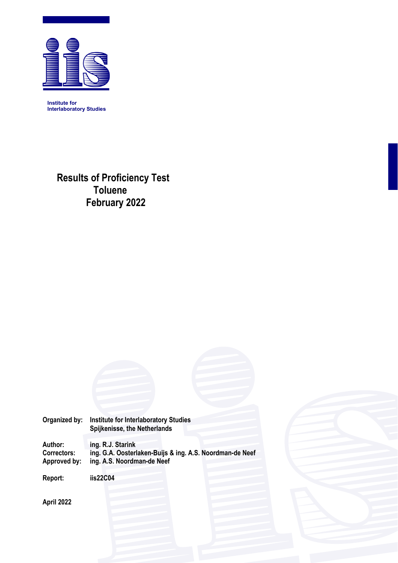

**Institute for Interlaboratory Studies** 

> **Results of Proficiency Test Toluene February 2022**

**Organized by: Institute for Interlaboratory Studies Spijkenisse, the Netherlands** 

**Author: ing. R.J. Starink Correctors: ing. G.A. Oosterlaken-Buijs & ing. A.S. Noordman-de Neef**  ing. A.S. Noordman-de Neef

**Report: iis22C04** 

**April 2022**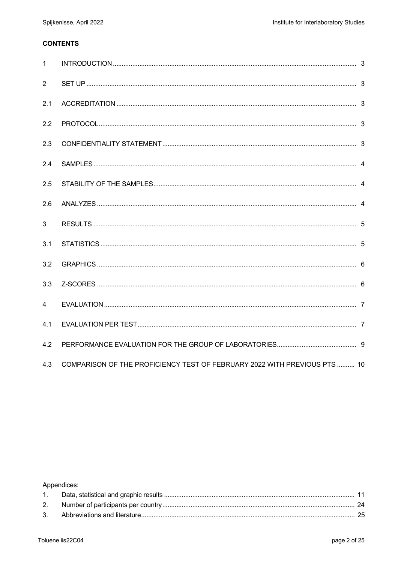## **CONTENTS**

| $\mathbf{1}$   |                                                                           |  |
|----------------|---------------------------------------------------------------------------|--|
| 2              |                                                                           |  |
| 2.1            |                                                                           |  |
| 2.2            |                                                                           |  |
| 2.3            |                                                                           |  |
| 2.4            |                                                                           |  |
| 2.5            |                                                                           |  |
| 2.6            |                                                                           |  |
| 3              |                                                                           |  |
| 3.1            |                                                                           |  |
| 3.2            |                                                                           |  |
| 3.3            |                                                                           |  |
| $\overline{4}$ |                                                                           |  |
| 4.1            |                                                                           |  |
| 4.2            |                                                                           |  |
| 4.3            | COMPARISON OF THE PROFICIENCY TEST OF FEBRUARY 2022 WITH PREVIOUS PTS  10 |  |

Appendices: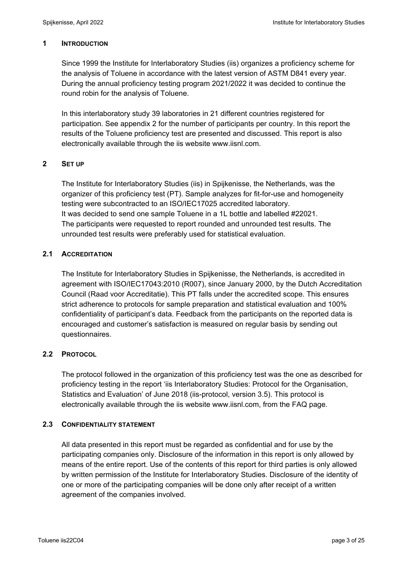### **1 INTRODUCTION**

Since 1999 the Institute for Interlaboratory Studies (iis) organizes a proficiency scheme for the analysis of Toluene in accordance with the latest version of ASTM D841 every year. During the annual proficiency testing program 2021/2022 it was decided to continue the round robin for the analysis of Toluene.

In this interlaboratory study 39 laboratories in 21 different countries registered for participation. See appendix 2 for the number of participants per country. In this report the results of the Toluene proficiency test are presented and discussed. This report is also electronically available through the iis website www.iisnl.com.

### **2 SET UP**

The Institute for Interlaboratory Studies (iis) in Spijkenisse, the Netherlands, was the organizer of this proficiency test (PT). Sample analyzes for fit-for-use and homogeneity testing were subcontracted to an ISO/IEC17025 accredited laboratory. It was decided to send one sample Toluene in a 1L bottle and labelled #22021. The participants were requested to report rounded and unrounded test results. The unrounded test results were preferably used for statistical evaluation.

## **2.1 ACCREDITATION**

The Institute for Interlaboratory Studies in Spijkenisse, the Netherlands, is accredited in agreement with ISO/IEC17043:2010 (R007), since January 2000, by the Dutch Accreditation Council (Raad voor Accreditatie). This PT falls under the accredited scope. This ensures strict adherence to protocols for sample preparation and statistical evaluation and 100% confidentiality of participant's data. Feedback from the participants on the reported data is encouraged and customer's satisfaction is measured on regular basis by sending out questionnaires.

## **2.2 PROTOCOL**

The protocol followed in the organization of this proficiency test was the one as described for proficiency testing in the report 'iis Interlaboratory Studies: Protocol for the Organisation, Statistics and Evaluation' of June 2018 (iis-protocol, version 3.5). This protocol is electronically available through the iis website www.iisnl.com, from the FAQ page.

### **2.3 CONFIDENTIALITY STATEMENT**

All data presented in this report must be regarded as confidential and for use by the participating companies only. Disclosure of the information in this report is only allowed by means of the entire report. Use of the contents of this report for third parties is only allowed by written permission of the Institute for Interlaboratory Studies. Disclosure of the identity of one or more of the participating companies will be done only after receipt of a written agreement of the companies involved.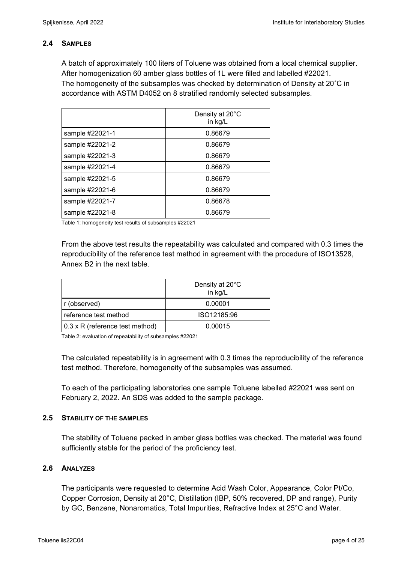### **2.4 SAMPLES**

A batch of approximately 100 liters of Toluene was obtained from a local chemical supplier. After homogenization 60 amber glass bottles of 1L were filled and labelled #22021. The homogeneity of the subsamples was checked by determination of Density at 20˚C in accordance with ASTM D4052 on 8 stratified randomly selected subsamples.

|                 | Density at 20°C<br>in kg/L |
|-----------------|----------------------------|
| sample #22021-1 | 0.86679                    |
| sample #22021-2 | 0.86679                    |
| sample #22021-3 | 0.86679                    |
| sample #22021-4 | 0.86679                    |
| sample #22021-5 | 0.86679                    |
| sample #22021-6 | 0.86679                    |
| sample #22021-7 | 0.86678                    |
| sample #22021-8 | 0.86679                    |

Table 1: homogeneity test results of subsamples #22021

From the above test results the repeatability was calculated and compared with 0.3 times the reproducibility of the reference test method in agreement with the procedure of ISO13528, Annex B2 in the next table.

|                                 | Density at 20°C<br>in kg/L |
|---------------------------------|----------------------------|
| r (observed)                    | 0.00001                    |
| reference test method           | ISO12185:96                |
| 0.3 x R (reference test method) | 0.00015                    |

Table 2: evaluation of repeatability of subsamples #22021

The calculated repeatability is in agreement with 0.3 times the reproducibility of the reference test method. Therefore, homogeneity of the subsamples was assumed.

To each of the participating laboratories one sample Toluene labelled #22021 was sent on February 2, 2022. An SDS was added to the sample package.

### **2.5 STABILITY OF THE SAMPLES**

The stability of Toluene packed in amber glass bottles was checked. The material was found sufficiently stable for the period of the proficiency test.

### **2.6 ANALYZES**

The participants were requested to determine Acid Wash Color, Appearance, Color Pt/Co, Copper Corrosion, Density at 20°C, Distillation (IBP, 50% recovered, DP and range), Purity by GC, Benzene, Nonaromatics, Total Impurities, Refractive Index at 25°C and Water.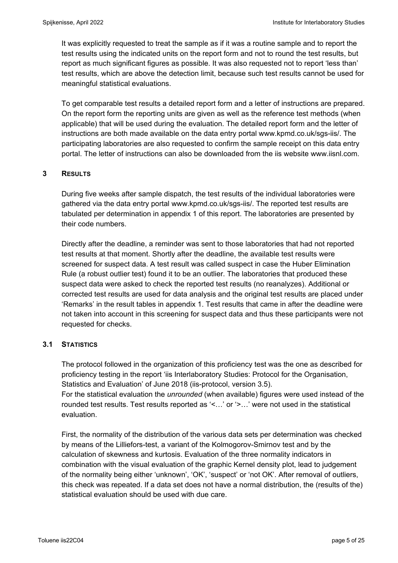It was explicitly requested to treat the sample as if it was a routine sample and to report the test results using the indicated units on the report form and not to round the test results, but report as much significant figures as possible. It was also requested not to report 'less than' test results, which are above the detection limit, because such test results cannot be used for meaningful statistical evaluations.

To get comparable test results a detailed report form and a letter of instructions are prepared. On the report form the reporting units are given as well as the reference test methods (when applicable) that will be used during the evaluation. The detailed report form and the letter of instructions are both made available on the data entry portal www.kpmd.co.uk/sgs-iis/. The participating laboratories are also requested to confirm the sample receipt on this data entry portal. The letter of instructions can also be downloaded from the iis website www.iisnl.com.

### **3 RESULTS**

During five weeks after sample dispatch, the test results of the individual laboratories were gathered via the data entry portal www.kpmd.co.uk/sgs-iis/. The reported test results are tabulated per determination in appendix 1 of this report. The laboratories are presented by their code numbers.

Directly after the deadline, a reminder was sent to those laboratories that had not reported test results at that moment. Shortly after the deadline, the available test results were screened for suspect data. A test result was called suspect in case the Huber Elimination Rule (a robust outlier test) found it to be an outlier. The laboratories that produced these suspect data were asked to check the reported test results (no reanalyzes). Additional or corrected test results are used for data analysis and the original test results are placed under 'Remarks' in the result tables in appendix 1. Test results that came in after the deadline were not taken into account in this screening for suspect data and thus these participants were not requested for checks.

### **3.1 STATISTICS**

The protocol followed in the organization of this proficiency test was the one as described for proficiency testing in the report 'iis Interlaboratory Studies: Protocol for the Organisation, Statistics and Evaluation' of June 2018 (iis-protocol, version 3.5). For the statistical evaluation the *unrounded* (when available) figures were used instead of the rounded test results. Test results reported as '<…' or '>…' were not used in the statistical evaluation.

First, the normality of the distribution of the various data sets per determination was checked by means of the Lilliefors-test, a variant of the Kolmogorov-Smirnov test and by the calculation of skewness and kurtosis. Evaluation of the three normality indicators in combination with the visual evaluation of the graphic Kernel density plot, lead to judgement of the normality being either 'unknown', 'OK', 'suspect' or 'not OK'. After removal of outliers, this check was repeated. If a data set does not have a normal distribution, the (results of the) statistical evaluation should be used with due care.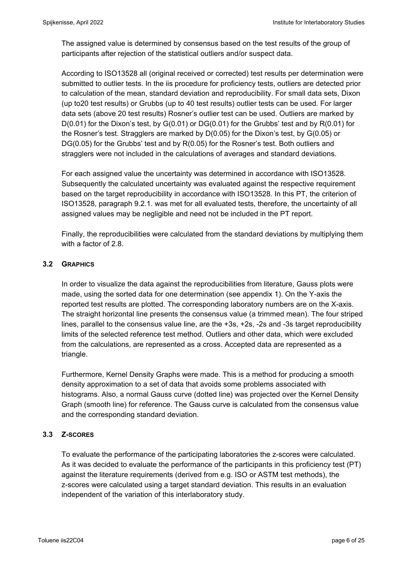The assigned value is determined by consensus based on the test results of the group of participants after rejection of the statistical outliers and/or suspect data.

According to ISO13528 all (original received or corrected) test results per determination were submitted to outlier tests. In the iis procedure for proficiency tests, outliers are detected prior to calculation of the mean, standard deviation and reproducibility. For small data sets, Dixon (up to20 test results) or Grubbs (up to 40 test results) outlier tests can be used. For larger data sets (above 20 test results) Rosner's outlier test can be used. Outliers are marked by  $D(0.01)$  for the Dixon's test, by  $G(0.01)$  or  $DG(0.01)$  for the Grubbs' test and by  $R(0.01)$  for the Rosner's test. Stragglers are marked by D(0.05) for the Dixon's test, by G(0.05) or DG(0.05) for the Grubbs' test and by R(0.05) for the Rosner's test. Both outliers and stragglers were not included in the calculations of averages and standard deviations.

For each assigned value the uncertainty was determined in accordance with ISO13528. Subsequently the calculated uncertainty was evaluated against the respective requirement based on the target reproducibility in accordance with ISO13528. In this PT, the criterion of ISO13528, paragraph 9.2.1. was met for all evaluated tests, therefore, the uncertainty of all assigned values may be negligible and need not be included in the PT report.

Finally, the reproducibilities were calculated from the standard deviations by multiplying them with a factor of 2.8.

## **3.2 GRAPHICS**

In order to visualize the data against the reproducibilities from literature, Gauss plots were made, using the sorted data for one determination (see appendix 1). On the Y-axis the reported test results are plotted. The corresponding laboratory numbers are on the X-axis. The straight horizontal line presents the consensus value (a trimmed mean). The four striped lines, parallel to the consensus value line, are the +3s, +2s, -2s and -3s target reproducibility limits of the selected reference test method. Outliers and other data, which were excluded from the calculations, are represented as a cross. Accepted data are represented as a triangle.

Furthermore, Kernel Density Graphs were made. This is a method for producing a smooth density approximation to a set of data that avoids some problems associated with histograms. Also, a normal Gauss curve (dotted line) was projected over the Kernel Density Graph (smooth line) for reference. The Gauss curve is calculated from the consensus value and the corresponding standard deviation.

## **3.3 Z-SCORES**

To evaluate the performance of the participating laboratories the z-scores were calculated. As it was decided to evaluate the performance of the participants in this proficiency test (PT) against the literature requirements (derived from e.g. ISO or ASTM test methods), the z-scores were calculated using a target standard deviation. This results in an evaluation independent of the variation of this interlaboratory study.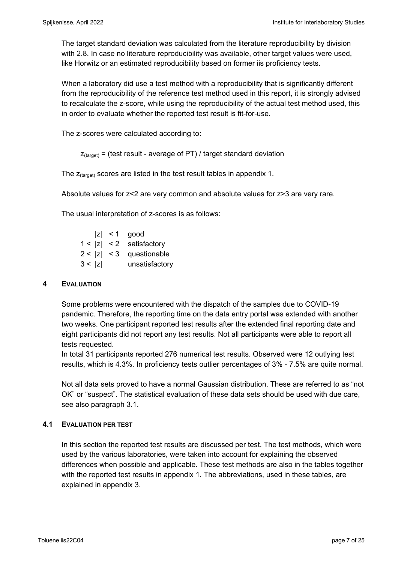The target standard deviation was calculated from the literature reproducibility by division with 2.8. In case no literature reproducibility was available, other target values were used, like Horwitz or an estimated reproducibility based on former iis proficiency tests.

When a laboratory did use a test method with a reproducibility that is significantly different from the reproducibility of the reference test method used in this report, it is strongly advised to recalculate the z-score, while using the reproducibility of the actual test method used, this in order to evaluate whether the reported test result is fit-for-use.

The z-scores were calculated according to:

```
Z_{\text{target}} = (test result - average of PT) / target standard deviation
```
The  $z_{\text{(target)}}$  scores are listed in the test result tables in appendix 1.

Absolute values for z<2 are very common and absolute values for z>3 are very rare.

The usual interpretation of z-scores is as follows:

|        | $ z  < 1$ good             |
|--------|----------------------------|
|        | $1 <  z  < 2$ satisfactory |
|        | $2 <  z  < 3$ questionable |
| 3 <  z | unsatisfactory             |

### **4 EVALUATION**

Some problems were encountered with the dispatch of the samples due to COVID-19 pandemic. Therefore, the reporting time on the data entry portal was extended with another two weeks. One participant reported test results after the extended final reporting date and eight participants did not report any test results. Not all participants were able to report all tests requested.

In total 31 participants reported 276 numerical test results. Observed were 12 outlying test results, which is 4.3%. In proficiency tests outlier percentages of 3% - 7.5% are quite normal.

Not all data sets proved to have a normal Gaussian distribution. These are referred to as "not OK" or "suspect". The statistical evaluation of these data sets should be used with due care, see also paragraph 3.1.

## **4.1 EVALUATION PER TEST**

In this section the reported test results are discussed per test. The test methods, which were used by the various laboratories, were taken into account for explaining the observed differences when possible and applicable. These test methods are also in the tables together with the reported test results in appendix 1. The abbreviations, used in these tables, are explained in appendix 3.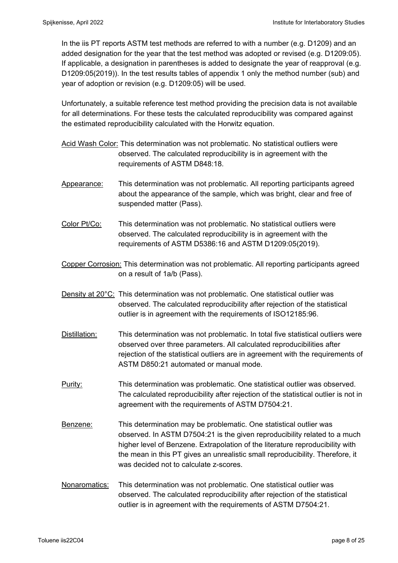In the iis PT reports ASTM test methods are referred to with a number (e.g. D1209) and an added designation for the year that the test method was adopted or revised (e.g. D1209:05). If applicable, a designation in parentheses is added to designate the year of reapproval (e.g. D1209:05(2019)). In the test results tables of appendix 1 only the method number (sub) and year of adoption or revision (e.g. D1209:05) will be used.

Unfortunately, a suitable reference test method providing the precision data is not available for all determinations. For these tests the calculated reproducibility was compared against the estimated reproducibility calculated with the Horwitz equation.

- Acid Wash Color: This determination was not problematic. No statistical outliers were observed. The calculated reproducibility is in agreement with the requirements of ASTM D848:18.
- Appearance: This determination was not problematic. All reporting participants agreed about the appearance of the sample, which was bright, clear and free of suspended matter (Pass).
- Color Pt/Co: This determination was not problematic. No statistical outliers were observed. The calculated reproducibility is in agreement with the requirements of ASTM D5386:16 and ASTM D1209:05(2019).
- Copper Corrosion: This determination was not problematic. All reporting participants agreed on a result of 1a/b (Pass).
- Density at 20°C: This determination was not problematic. One statistical outlier was observed. The calculated reproducibility after rejection of the statistical outlier is in agreement with the requirements of ISO12185:96.
- Distillation: This determination was not problematic. In total five statistical outliers were observed over three parameters. All calculated reproducibilities after rejection of the statistical outliers are in agreement with the requirements of ASTM D850:21 automated or manual mode.
- Purity: This determination was problematic. One statistical outlier was observed. The calculated reproducibility after rejection of the statistical outlier is not in agreement with the requirements of ASTM D7504:21.
- Benzene: This determination may be problematic. One statistical outlier was observed. In ASTM D7504:21 is the given reproducibility related to a much higher level of Benzene. Extrapolation of the literature reproducibility with the mean in this PT gives an unrealistic small reproducibility. Therefore, it was decided not to calculate z-scores.
- Nonaromatics: This determination was not problematic. One statistical outlier was observed. The calculated reproducibility after rejection of the statistical outlier is in agreement with the requirements of ASTM D7504:21.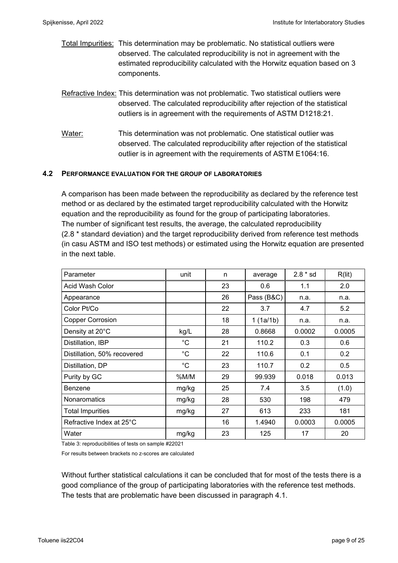- Total Impurities: This determination may be problematic. No statistical outliers were observed. The calculated reproducibility is not in agreement with the estimated reproducibility calculated with the Horwitz equation based on 3 components.
- Refractive Index: This determination was not problematic. Two statistical outliers were observed. The calculated reproducibility after rejection of the statistical outliers is in agreement with the requirements of ASTM D1218:21.
- Water: This determination was not problematic. One statistical outlier was observed. The calculated reproducibility after rejection of the statistical outlier is in agreement with the requirements of ASTM E1064:16.

### **4.2 PERFORMANCE EVALUATION FOR THE GROUP OF LABORATORIES**

A comparison has been made between the reproducibility as declared by the reference test method or as declared by the estimated target reproducibility calculated with the Horwitz equation and the reproducibility as found for the group of participating laboratories. The number of significant test results, the average, the calculated reproducibility (2.8 \* standard deviation) and the target reproducibility derived from reference test methods (in casu ASTM and ISO test methods) or estimated using the Horwitz equation are presented in the next table.

| Parameter                   | unit        | n  | average    | $2.8 * sd$ | R(lit) |
|-----------------------------|-------------|----|------------|------------|--------|
| Acid Wash Color             |             | 23 | 0.6        | 1.1        | 2.0    |
| Appearance                  |             | 26 | Pass (B&C) | n.a.       | n.a.   |
| Color Pt/Co                 |             | 22 | 3.7        | 4.7        | 5.2    |
| <b>Copper Corrosion</b>     |             | 18 | 1(1a/1b)   | n.a.       | n.a.   |
| Density at 20°C             | kg/L        | 28 | 0.8668     | 0.0002     | 0.0005 |
| Distillation, IBP           | $^{\circ}C$ | 21 | 110.2      | 0.3        | 0.6    |
| Distillation, 50% recovered | $^{\circ}C$ | 22 | 110.6      | 0.1        | 0.2    |
| Distillation, DP            | $^{\circ}C$ | 23 | 110.7      | 0.2        | 0.5    |
| Purity by GC                | %M/M        | 29 | 99.939     | 0.018      | 0.013  |
| Benzene                     | mg/kg       | 25 | 7.4        | 3.5        | (1.0)  |
| Nonaromatics                | mg/kg       | 28 | 530        | 198        | 479    |
| <b>Total Impurities</b>     | mg/kg       | 27 | 613        | 233        | 181    |
| Refractive Index at 25°C    |             | 16 | 1.4940     | 0.0003     | 0.0005 |
| Water                       | mg/kg       | 23 | 125        | 17         | 20     |

Table 3: reproducibilities of tests on sample #22021

For results between brackets no z-scores are calculated

Without further statistical calculations it can be concluded that for most of the tests there is a good compliance of the group of participating laboratories with the reference test methods. The tests that are problematic have been discussed in paragraph 4.1.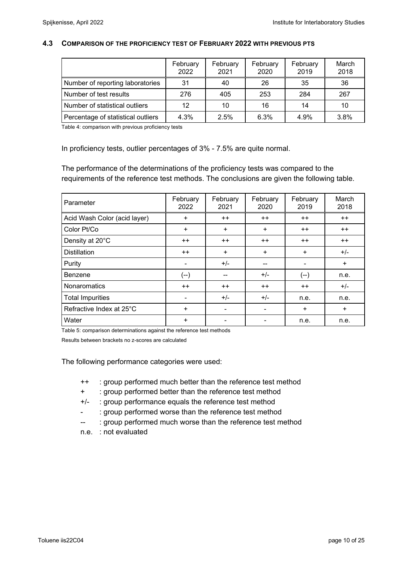#### **4.3 COMPARISON OF THE PROFICIENCY TEST OF FEBRUARY 2022 WITH PREVIOUS PTS**

|                                    | February<br>2022 | February<br>2021 | February<br>2020 | February<br>2019 | March<br>2018 |
|------------------------------------|------------------|------------------|------------------|------------------|---------------|
| Number of reporting laboratories   | 31               | 40               | 26               | 35               | 36            |
| Number of test results             | 276              | 405              | 253              | 284              | 267           |
| Number of statistical outliers     | 12               | 10               | 16               | 14               | 10            |
| Percentage of statistical outliers | 4.3%             | 2.5%             | 6.3%             | 4.9%             | 3.8%          |

Table 4: comparison with previous proficiency tests

In proficiency tests, outlier percentages of 3% - 7.5% are quite normal.

The performance of the determinations of the proficiency tests was compared to the requirements of the reference test methods. The conclusions are given the following table.

| Parameter                    | February<br>2022 | February<br>2021 | February<br>2020 | February<br>2019 | March<br>2018 |
|------------------------------|------------------|------------------|------------------|------------------|---------------|
| Acid Wash Color (acid layer) | $\ddot{}$        | $++$             | $++$             | $++$             | $++$          |
| Color Pt/Co                  | $\ddot{}$        | $\ddot{}$        | $+$              | $++$             | $++$          |
| Density at 20°C              | $++$             | $++$             | $++$             | $++$             | $++$          |
| <b>Distillation</b>          | $++$             | $+$              | $+$              | $+$              | $+/-$         |
| Purity                       |                  | $+/-$            | --               | -                | $+$           |
| Benzene                      | (--)             | --               | $+/-$            | $(-)$            | n.e.          |
| <b>Nonaromatics</b>          | $++$             | $++$             | $++$             | $++$             | $+/-$         |
| <b>Total Impurities</b>      | ۰                | $+/-$            | $+/-$            | n.e.             | n.e.          |
| Refractive Index at 25°C     | $\ddot{}$        | -                | -                | $\ddot{}$        | $+$           |
| Water                        | $\ddot{}$        |                  | -                | n.e.             | n.e.          |

Table 5: comparison determinations against the reference test methods

Results between brackets no z-scores are calculated

The following performance categories were used:

- ++ : group performed much better than the reference test method
- + : group performed better than the reference test method
- +/- : group performance equals the reference test method
- : group performed worse than the reference test method
- -- : group performed much worse than the reference test method
- n.e. : not evaluated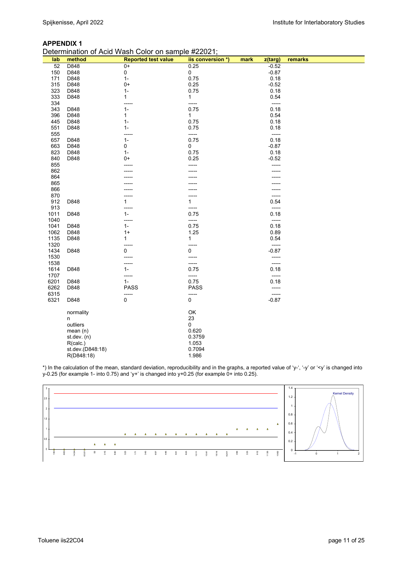#### **APPENDIX 1**

|  | Determination of Acid Wash Color on sample #22021; |  |  |
|--|----------------------------------------------------|--|--|
|--|----------------------------------------------------|--|--|

| lab  | method           | <b>Reported test value</b> | iis conversion *) | mark<br>z(targ) | remarks |
|------|------------------|----------------------------|-------------------|-----------------|---------|
| 52   | D848             | $0+$                       | 0.25              | $-0.52$         |         |
| 150  | D848             | 0                          | 0                 | $-0.87$         |         |
| 171  | D848             | $1 -$                      | 0.75              | 0.18            |         |
| 315  | D848             | $0+$                       | 0.25              | $-0.52$         |         |
| 323  | D848             | $1-$                       | 0.75              | 0.18            |         |
|      |                  |                            |                   |                 |         |
| 333  | D848             | 1                          | 1                 | 0.54            |         |
| 334  |                  | -----                      | -----             | -----           |         |
| 343  | D848             | $1 -$                      | 0.75              | 0.18            |         |
| 396  | D848             | 1                          | 1                 | 0.54            |         |
| 445  | D848             | $1 -$                      | 0.75              | 0.18            |         |
| 551  | D848             | $1 -$                      | 0.75              | 0.18            |         |
| 555  |                  | -----                      | -----             | -----           |         |
|      |                  |                            | 0.75              | 0.18            |         |
| 657  | D848             | $1-$                       |                   |                 |         |
| 663  | D848             | 0                          | 0                 | $-0.87$         |         |
| 823  | D848             | $1 -$                      | 0.75              | 0.18            |         |
| 840  | D848             | 0+                         | 0.25              | $-0.52$         |         |
| 855  |                  |                            | -----             |                 |         |
| 862  |                  |                            |                   |                 |         |
| 864  |                  |                            |                   |                 |         |
| 865  |                  |                            |                   |                 |         |
|      |                  |                            |                   |                 |         |
| 866  |                  |                            |                   |                 |         |
| 870  |                  |                            |                   |                 |         |
| 912  | D848             | 1                          | $\mathbf{1}$      | 0.54            |         |
| 913  |                  |                            | -----             | -----           |         |
| 1011 | D848             | $1 -$                      | 0.75              | 0.18            |         |
| 1040 |                  | -----                      | -----             | -----           |         |
| 1041 | D848             | $1 -$                      | 0.75              | 0.18            |         |
|      |                  |                            |                   |                 |         |
| 1062 | D848             | $1+$                       | 1.25              | 0.89            |         |
| 1135 | D848             | 1                          | 1                 | 0.54            |         |
| 1320 |                  | -----                      | -----             | -----           |         |
| 1434 | D848             | 0                          | 0                 | $-0.87$         |         |
| 1530 |                  |                            | -----             |                 |         |
| 1538 |                  | -----                      | -----             | -----           |         |
| 1614 | D848             | $1 -$                      | 0.75              | 0.18            |         |
|      |                  |                            |                   |                 |         |
| 1707 |                  | -----                      | -----             | -----           |         |
| 6201 | D848             | $1-$                       | 0.75              | 0.18            |         |
| 6262 | D848             | <b>PASS</b>                | <b>PASS</b>       |                 |         |
| 6315 |                  | -----                      | -----             | -----           |         |
| 6321 | D848             | $\mathbf 0$                | 0                 | $-0.87$         |         |
|      |                  |                            |                   |                 |         |
|      | normality        |                            | OK                |                 |         |
|      |                  |                            |                   |                 |         |
|      | n                |                            | 23                |                 |         |
|      | outliers         |                            | 0                 |                 |         |
|      | mean $(n)$       |                            | 0.620             |                 |         |
|      | st.dev. $(n)$    |                            | 0.3759            |                 |         |
|      | R(calc.)         |                            | 1.053             |                 |         |
|      | st.dev.(D848:18) |                            | 0.7094            |                 |         |
|      | R(D848:18)       |                            | 1.986             |                 |         |
|      |                  |                            |                   |                 |         |

\*) In the calculation of the mean, standard deviation, reproducibility and in the graphs, a reported value of 'y-', '-y' or '<y' is changed into y-0.25 (for example 1- into 0.75) and 'y+' is changed into y+0.25 (for example 0+ into 0.25).

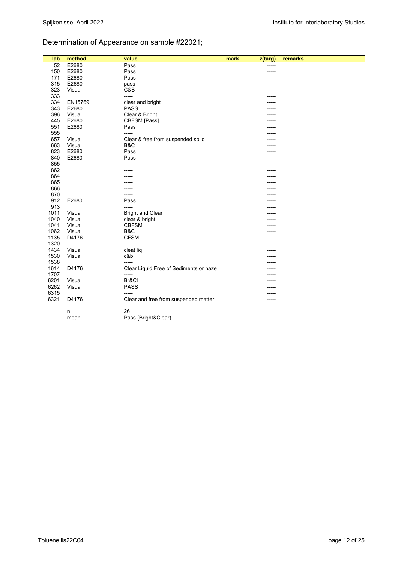## Determination of Appearance on sample #22021;

| lab  | method  | value                                  | mark<br>z(targ) | remarks |
|------|---------|----------------------------------------|-----------------|---------|
| 52   | E2680   | Pass                                   | -----           |         |
| 150  | E2680   | Pass                                   | -----           |         |
| 171  | E2680   | Pass                                   |                 |         |
| 315  | E2680   | pass                                   |                 |         |
| 323  | Visual  | C&B                                    |                 |         |
| 333  |         | -----                                  |                 |         |
| 334  | EN15769 | clear and bright                       |                 |         |
| 343  | E2680   | <b>PASS</b>                            |                 |         |
| 396  | Visual  | Clear & Bright                         |                 |         |
| 445  | E2680   | CBFSM [Pass]                           |                 |         |
| 551  | E2680   | Pass                                   |                 |         |
| 555  |         | -----                                  |                 |         |
| 657  | Visual  | Clear & free from suspended solid      |                 |         |
| 663  | Visual  | B&C                                    |                 |         |
| 823  | E2680   | Pass                                   |                 |         |
| 840  | E2680   | Pass                                   |                 |         |
| 855  |         |                                        |                 |         |
| 862  |         |                                        |                 |         |
| 864  |         |                                        |                 |         |
| 865  |         |                                        |                 |         |
| 866  |         |                                        |                 |         |
| 870  |         | -----                                  |                 |         |
| 912  | E2680   | Pass                                   |                 |         |
| 913  |         | -----                                  |                 |         |
| 1011 | Visual  | <b>Bright and Clear</b>                |                 |         |
| 1040 | Visual  | clear & bright                         |                 |         |
| 1041 | Visual  | <b>CBFSM</b>                           |                 |         |
| 1062 | Visual  | B&C                                    |                 |         |
| 1135 | D4176   | <b>CFSM</b>                            |                 |         |
| 1320 |         | -----                                  |                 |         |
| 1434 | Visual  | cleat liq                              |                 |         |
| 1530 | Visual  | c&b                                    |                 |         |
| 1538 |         | -----                                  |                 |         |
| 1614 | D4176   | Clear Liquid Free of Sediments or haze |                 |         |
| 1707 |         | -----                                  |                 |         |
| 6201 | Visual  | Br&Cl                                  |                 |         |
| 6262 | Visual  | <b>PASS</b>                            |                 |         |
| 6315 |         |                                        | ----            |         |
| 6321 | D4176   | Clear and free from suspended matter   | -----           |         |
|      | n       | 26                                     |                 |         |
|      | mean    | Pass (Bright&Clear)                    |                 |         |
|      |         |                                        |                 |         |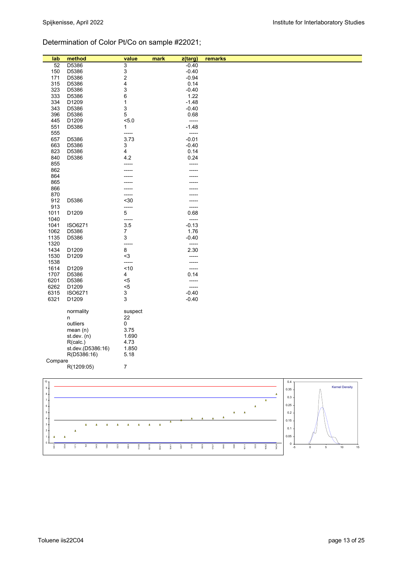## Determination of Color Pt/Co on sample #22021;

| 52<br>3<br>$-0.40$<br>D5386<br>3<br>150<br>D5386<br>$-0.40$<br>$\overline{c}$<br>171<br>$-0.94$<br>D5386<br>315<br>4<br>D5386<br>0.14<br>323<br>3<br>$-0.40$<br>D5386<br>333<br>D5386<br>6<br>1.22<br>334<br>D1209<br>1<br>$-1.48$<br>343<br>D5386<br>3<br>$-0.40$<br>5<br>396<br>D5386<br>0.68<br>445<br>5.0<br>D1209<br>-----<br>$-1.48$<br>551<br>D5386<br>1<br>555<br>-----<br>-----<br>657<br>D5386<br>3.73<br>$-0.01$<br>663<br>D5386<br>3<br>$-0.40$<br>823<br>D5386<br>4<br>0.14<br>840<br>D5386<br>4.2<br>0.24<br>855<br>-----<br>862<br>864<br>865<br>866<br>870<br>912<br>D5386<br>$30$<br>913<br>-----<br>-----<br>1011<br>$\,$ 5 $\,$<br>0.68<br>D1209<br>1040<br>-----<br>-----<br>1041<br>3.5<br>$-0.13$<br>ISO6271<br>1062<br>1.76<br>D5386<br>7<br>1135<br>3<br>$-0.40$<br>D5386<br>1320<br>-----<br>-----<br>8<br>1434<br>D1209<br>2.30<br>$3$<br>1530<br>D1209<br>-----<br>1538<br>-----<br>-----<br>~10<br>1614<br>D1209<br>1707<br>D5386<br>4<br>0.14<br>6201<br>D5386<br>$5$<br>-----<br>6262<br>D1209<br>$5$<br>-----<br>6315<br>3<br>$-0.40$<br>ISO6271<br>3<br>6321<br>D1209<br>$-0.40$<br>normality<br>suspect<br>22<br>n<br>0<br>outliers<br>3.75<br>mean $(n)$<br>1.690<br>st.dev. $(n)$<br>4.73<br>R(calc.)<br>st.dev.(D5386:16)<br>1.850<br>R(D5386:16)<br>5.18 | lab | method | value | mark | z(targ) | remarks |
|-----------------------------------------------------------------------------------------------------------------------------------------------------------------------------------------------------------------------------------------------------------------------------------------------------------------------------------------------------------------------------------------------------------------------------------------------------------------------------------------------------------------------------------------------------------------------------------------------------------------------------------------------------------------------------------------------------------------------------------------------------------------------------------------------------------------------------------------------------------------------------------------------------------------------------------------------------------------------------------------------------------------------------------------------------------------------------------------------------------------------------------------------------------------------------------------------------------------------------------------------------------------------------------------------|-----|--------|-------|------|---------|---------|
|                                                                                                                                                                                                                                                                                                                                                                                                                                                                                                                                                                                                                                                                                                                                                                                                                                                                                                                                                                                                                                                                                                                                                                                                                                                                                               |     |        |       |      |         |         |
|                                                                                                                                                                                                                                                                                                                                                                                                                                                                                                                                                                                                                                                                                                                                                                                                                                                                                                                                                                                                                                                                                                                                                                                                                                                                                               |     |        |       |      |         |         |
|                                                                                                                                                                                                                                                                                                                                                                                                                                                                                                                                                                                                                                                                                                                                                                                                                                                                                                                                                                                                                                                                                                                                                                                                                                                                                               |     |        |       |      |         |         |
|                                                                                                                                                                                                                                                                                                                                                                                                                                                                                                                                                                                                                                                                                                                                                                                                                                                                                                                                                                                                                                                                                                                                                                                                                                                                                               |     |        |       |      |         |         |
|                                                                                                                                                                                                                                                                                                                                                                                                                                                                                                                                                                                                                                                                                                                                                                                                                                                                                                                                                                                                                                                                                                                                                                                                                                                                                               |     |        |       |      |         |         |
|                                                                                                                                                                                                                                                                                                                                                                                                                                                                                                                                                                                                                                                                                                                                                                                                                                                                                                                                                                                                                                                                                                                                                                                                                                                                                               |     |        |       |      |         |         |
|                                                                                                                                                                                                                                                                                                                                                                                                                                                                                                                                                                                                                                                                                                                                                                                                                                                                                                                                                                                                                                                                                                                                                                                                                                                                                               |     |        |       |      |         |         |
|                                                                                                                                                                                                                                                                                                                                                                                                                                                                                                                                                                                                                                                                                                                                                                                                                                                                                                                                                                                                                                                                                                                                                                                                                                                                                               |     |        |       |      |         |         |
|                                                                                                                                                                                                                                                                                                                                                                                                                                                                                                                                                                                                                                                                                                                                                                                                                                                                                                                                                                                                                                                                                                                                                                                                                                                                                               |     |        |       |      |         |         |
|                                                                                                                                                                                                                                                                                                                                                                                                                                                                                                                                                                                                                                                                                                                                                                                                                                                                                                                                                                                                                                                                                                                                                                                                                                                                                               |     |        |       |      |         |         |
|                                                                                                                                                                                                                                                                                                                                                                                                                                                                                                                                                                                                                                                                                                                                                                                                                                                                                                                                                                                                                                                                                                                                                                                                                                                                                               |     |        |       |      |         |         |
|                                                                                                                                                                                                                                                                                                                                                                                                                                                                                                                                                                                                                                                                                                                                                                                                                                                                                                                                                                                                                                                                                                                                                                                                                                                                                               |     |        |       |      |         |         |
|                                                                                                                                                                                                                                                                                                                                                                                                                                                                                                                                                                                                                                                                                                                                                                                                                                                                                                                                                                                                                                                                                                                                                                                                                                                                                               |     |        |       |      |         |         |
|                                                                                                                                                                                                                                                                                                                                                                                                                                                                                                                                                                                                                                                                                                                                                                                                                                                                                                                                                                                                                                                                                                                                                                                                                                                                                               |     |        |       |      |         |         |
|                                                                                                                                                                                                                                                                                                                                                                                                                                                                                                                                                                                                                                                                                                                                                                                                                                                                                                                                                                                                                                                                                                                                                                                                                                                                                               |     |        |       |      |         |         |
|                                                                                                                                                                                                                                                                                                                                                                                                                                                                                                                                                                                                                                                                                                                                                                                                                                                                                                                                                                                                                                                                                                                                                                                                                                                                                               |     |        |       |      |         |         |
|                                                                                                                                                                                                                                                                                                                                                                                                                                                                                                                                                                                                                                                                                                                                                                                                                                                                                                                                                                                                                                                                                                                                                                                                                                                                                               |     |        |       |      |         |         |
|                                                                                                                                                                                                                                                                                                                                                                                                                                                                                                                                                                                                                                                                                                                                                                                                                                                                                                                                                                                                                                                                                                                                                                                                                                                                                               |     |        |       |      |         |         |
|                                                                                                                                                                                                                                                                                                                                                                                                                                                                                                                                                                                                                                                                                                                                                                                                                                                                                                                                                                                                                                                                                                                                                                                                                                                                                               |     |        |       |      |         |         |
|                                                                                                                                                                                                                                                                                                                                                                                                                                                                                                                                                                                                                                                                                                                                                                                                                                                                                                                                                                                                                                                                                                                                                                                                                                                                                               |     |        |       |      |         |         |
|                                                                                                                                                                                                                                                                                                                                                                                                                                                                                                                                                                                                                                                                                                                                                                                                                                                                                                                                                                                                                                                                                                                                                                                                                                                                                               |     |        |       |      |         |         |
|                                                                                                                                                                                                                                                                                                                                                                                                                                                                                                                                                                                                                                                                                                                                                                                                                                                                                                                                                                                                                                                                                                                                                                                                                                                                                               |     |        |       |      |         |         |
|                                                                                                                                                                                                                                                                                                                                                                                                                                                                                                                                                                                                                                                                                                                                                                                                                                                                                                                                                                                                                                                                                                                                                                                                                                                                                               |     |        |       |      |         |         |
|                                                                                                                                                                                                                                                                                                                                                                                                                                                                                                                                                                                                                                                                                                                                                                                                                                                                                                                                                                                                                                                                                                                                                                                                                                                                                               |     |        |       |      |         |         |
|                                                                                                                                                                                                                                                                                                                                                                                                                                                                                                                                                                                                                                                                                                                                                                                                                                                                                                                                                                                                                                                                                                                                                                                                                                                                                               |     |        |       |      |         |         |
|                                                                                                                                                                                                                                                                                                                                                                                                                                                                                                                                                                                                                                                                                                                                                                                                                                                                                                                                                                                                                                                                                                                                                                                                                                                                                               |     |        |       |      |         |         |
|                                                                                                                                                                                                                                                                                                                                                                                                                                                                                                                                                                                                                                                                                                                                                                                                                                                                                                                                                                                                                                                                                                                                                                                                                                                                                               |     |        |       |      |         |         |
|                                                                                                                                                                                                                                                                                                                                                                                                                                                                                                                                                                                                                                                                                                                                                                                                                                                                                                                                                                                                                                                                                                                                                                                                                                                                                               |     |        |       |      |         |         |
|                                                                                                                                                                                                                                                                                                                                                                                                                                                                                                                                                                                                                                                                                                                                                                                                                                                                                                                                                                                                                                                                                                                                                                                                                                                                                               |     |        |       |      |         |         |
|                                                                                                                                                                                                                                                                                                                                                                                                                                                                                                                                                                                                                                                                                                                                                                                                                                                                                                                                                                                                                                                                                                                                                                                                                                                                                               |     |        |       |      |         |         |
|                                                                                                                                                                                                                                                                                                                                                                                                                                                                                                                                                                                                                                                                                                                                                                                                                                                                                                                                                                                                                                                                                                                                                                                                                                                                                               |     |        |       |      |         |         |
|                                                                                                                                                                                                                                                                                                                                                                                                                                                                                                                                                                                                                                                                                                                                                                                                                                                                                                                                                                                                                                                                                                                                                                                                                                                                                               |     |        |       |      |         |         |
|                                                                                                                                                                                                                                                                                                                                                                                                                                                                                                                                                                                                                                                                                                                                                                                                                                                                                                                                                                                                                                                                                                                                                                                                                                                                                               |     |        |       |      |         |         |
|                                                                                                                                                                                                                                                                                                                                                                                                                                                                                                                                                                                                                                                                                                                                                                                                                                                                                                                                                                                                                                                                                                                                                                                                                                                                                               |     |        |       |      |         |         |
|                                                                                                                                                                                                                                                                                                                                                                                                                                                                                                                                                                                                                                                                                                                                                                                                                                                                                                                                                                                                                                                                                                                                                                                                                                                                                               |     |        |       |      |         |         |
|                                                                                                                                                                                                                                                                                                                                                                                                                                                                                                                                                                                                                                                                                                                                                                                                                                                                                                                                                                                                                                                                                                                                                                                                                                                                                               |     |        |       |      |         |         |
|                                                                                                                                                                                                                                                                                                                                                                                                                                                                                                                                                                                                                                                                                                                                                                                                                                                                                                                                                                                                                                                                                                                                                                                                                                                                                               |     |        |       |      |         |         |
|                                                                                                                                                                                                                                                                                                                                                                                                                                                                                                                                                                                                                                                                                                                                                                                                                                                                                                                                                                                                                                                                                                                                                                                                                                                                                               |     |        |       |      |         |         |
|                                                                                                                                                                                                                                                                                                                                                                                                                                                                                                                                                                                                                                                                                                                                                                                                                                                                                                                                                                                                                                                                                                                                                                                                                                                                                               |     |        |       |      |         |         |
|                                                                                                                                                                                                                                                                                                                                                                                                                                                                                                                                                                                                                                                                                                                                                                                                                                                                                                                                                                                                                                                                                                                                                                                                                                                                                               |     |        |       |      |         |         |
|                                                                                                                                                                                                                                                                                                                                                                                                                                                                                                                                                                                                                                                                                                                                                                                                                                                                                                                                                                                                                                                                                                                                                                                                                                                                                               |     |        |       |      |         |         |
|                                                                                                                                                                                                                                                                                                                                                                                                                                                                                                                                                                                                                                                                                                                                                                                                                                                                                                                                                                                                                                                                                                                                                                                                                                                                                               |     |        |       |      |         |         |
|                                                                                                                                                                                                                                                                                                                                                                                                                                                                                                                                                                                                                                                                                                                                                                                                                                                                                                                                                                                                                                                                                                                                                                                                                                                                                               |     |        |       |      |         |         |
|                                                                                                                                                                                                                                                                                                                                                                                                                                                                                                                                                                                                                                                                                                                                                                                                                                                                                                                                                                                                                                                                                                                                                                                                                                                                                               |     |        |       |      |         |         |
|                                                                                                                                                                                                                                                                                                                                                                                                                                                                                                                                                                                                                                                                                                                                                                                                                                                                                                                                                                                                                                                                                                                                                                                                                                                                                               |     |        |       |      |         |         |
|                                                                                                                                                                                                                                                                                                                                                                                                                                                                                                                                                                                                                                                                                                                                                                                                                                                                                                                                                                                                                                                                                                                                                                                                                                                                                               |     |        |       |      |         |         |
|                                                                                                                                                                                                                                                                                                                                                                                                                                                                                                                                                                                                                                                                                                                                                                                                                                                                                                                                                                                                                                                                                                                                                                                                                                                                                               |     |        |       |      |         |         |
|                                                                                                                                                                                                                                                                                                                                                                                                                                                                                                                                                                                                                                                                                                                                                                                                                                                                                                                                                                                                                                                                                                                                                                                                                                                                                               |     |        |       |      |         |         |
|                                                                                                                                                                                                                                                                                                                                                                                                                                                                                                                                                                                                                                                                                                                                                                                                                                                                                                                                                                                                                                                                                                                                                                                                                                                                                               |     |        |       |      |         |         |
|                                                                                                                                                                                                                                                                                                                                                                                                                                                                                                                                                                                                                                                                                                                                                                                                                                                                                                                                                                                                                                                                                                                                                                                                                                                                                               |     |        |       |      |         |         |
| Compare                                                                                                                                                                                                                                                                                                                                                                                                                                                                                                                                                                                                                                                                                                                                                                                                                                                                                                                                                                                                                                                                                                                                                                                                                                                                                       |     |        |       |      |         |         |
| R(1209:05)<br>7                                                                                                                                                                                                                                                                                                                                                                                                                                                                                                                                                                                                                                                                                                                                                                                                                                                                                                                                                                                                                                                                                                                                                                                                                                                                               |     |        |       |      |         |         |
|                                                                                                                                                                                                                                                                                                                                                                                                                                                                                                                                                                                                                                                                                                                                                                                                                                                                                                                                                                                                                                                                                                                                                                                                                                                                                               |     |        |       |      |         |         |
| 10 <sub>T</sub><br>0.4 <sub>7</sub>                                                                                                                                                                                                                                                                                                                                                                                                                                                                                                                                                                                                                                                                                                                                                                                                                                                                                                                                                                                                                                                                                                                                                                                                                                                           |     |        |       |      |         |         |

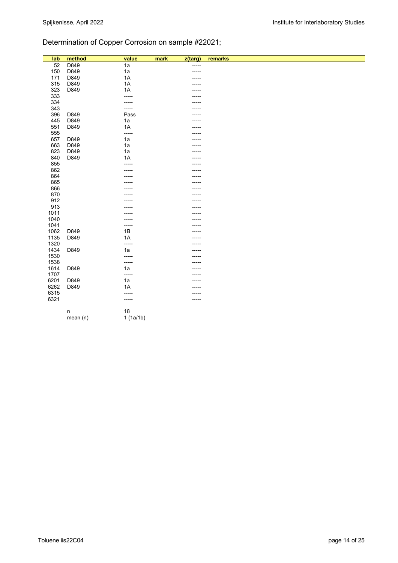## Determination of Copper Corrosion on sample #22021;

| lab  | method  | value           | mark | z(targ) | remarks |
|------|---------|-----------------|------|---------|---------|
| 52   | D849    | $\overline{1a}$ |      | -----   |         |
| 150  | D849    | 1a              |      | -----   |         |
| 171  | D849    | 1A              |      | -----   |         |
| 315  | D849    | 1A              |      | -----   |         |
| 323  | D849    | 1A              |      |         |         |
| 333  |         | -----           |      |         |         |
| 334  |         | ------          |      | ----    |         |
| 343  |         | -----           |      |         |         |
| 396  | D849    | Pass            |      |         |         |
| 445  | D849    | 1a              |      | ---     |         |
| 551  | D849    | 1A              |      |         |         |
| 555  |         | -----           |      |         |         |
| 657  | D849    | 1a              |      |         |         |
| 663  | D849    | 1a              |      |         |         |
| 823  | D849    | 1a              |      | ----    |         |
| 840  | D849    | 1A              |      | ----    |         |
| 855  |         | -----           |      |         |         |
| 862  |         |                 |      |         |         |
| 864  |         |                 |      |         |         |
| 865  |         |                 |      | ---     |         |
| 866  |         |                 |      |         |         |
| 870  |         |                 |      | ----    |         |
| 912  |         |                 |      | ----    |         |
| 913  |         |                 |      | ----    |         |
| 1011 |         |                 |      |         |         |
| 1040 |         |                 |      |         |         |
| 1041 |         | -----           |      | ----    |         |
| 1062 | D849    | $1B$            |      |         |         |
| 1135 | D849    | 1A              |      |         |         |
| 1320 |         | -----           |      | ----    |         |
| 1434 | D849    | 1a              |      |         |         |
| 1530 |         | -----           |      |         |         |
| 1538 |         | -----           |      |         |         |
| 1614 | D849    | 1a              |      |         |         |
| 1707 |         | -----           |      |         |         |
| 6201 | D849    | 1a              |      |         |         |
| 6262 | D849    | 1A              |      |         |         |
| 6315 |         | -----           |      |         |         |
| 6321 |         | -----           |      | -----   |         |
|      |         | 18              |      |         |         |
|      | n       | 1(1a/1b)        |      |         |         |
|      | mean(n) |                 |      |         |         |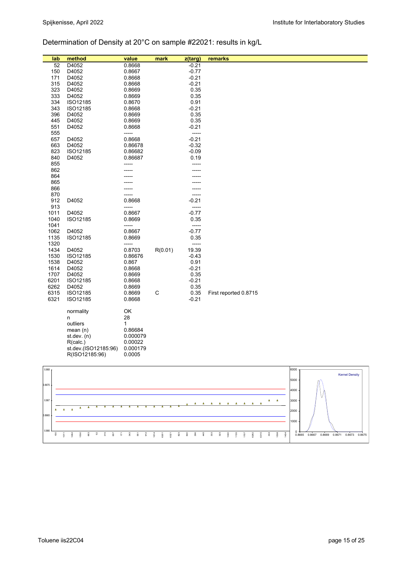# Determination of Density at 20°C on sample #22021: results in kg/L

| lab          | method               | value             | mark        | z(targ)          | remarks               |      |                       |
|--------------|----------------------|-------------------|-------------|------------------|-----------------------|------|-----------------------|
| 52           | D4052                | 0.8668            |             | $-0.21$          |                       |      |                       |
| 150          | D4052                | 0.8667            |             | $-0.77$          |                       |      |                       |
| 171          | D4052                | 0.8668            |             | $-0.21$          |                       |      |                       |
| 315          | D4052                | 0.8668            |             | $-0.21$          |                       |      |                       |
| 323          | D4052                | 0.8669            |             | 0.35             |                       |      |                       |
| 333          | D4052<br>ISO12185    | 0.8669            |             | 0.35             |                       |      |                       |
| 334<br>343   | ISO12185             | 0.8670<br>0.8668  |             | 0.91<br>$-0.21$  |                       |      |                       |
| 396          | D4052                | 0.8669            |             | 0.35             |                       |      |                       |
| 445          | D4052                | 0.8669            |             | 0.35             |                       |      |                       |
| 551          | D4052                | 0.8668            |             | $-0.21$          |                       |      |                       |
| 555          |                      | -----             |             | -----            |                       |      |                       |
| 657          | D4052                | 0.8668            |             | $-0.21$          |                       |      |                       |
| 663          | D4052                | 0.86678           |             | $-0.32$          |                       |      |                       |
| 823          | ISO12185             | 0.86682           |             | $-0.09$          |                       |      |                       |
| 840          | D4052                | 0.86687           |             | 0.19             |                       |      |                       |
| 855          |                      | -----             |             |                  |                       |      |                       |
| 862          |                      |                   |             |                  |                       |      |                       |
| 864          |                      |                   |             |                  |                       |      |                       |
| 865<br>866   |                      |                   |             |                  |                       |      |                       |
| 870          |                      |                   |             | -----            |                       |      |                       |
| 912          | D4052                | 0.8668            |             | $-0.21$          |                       |      |                       |
| 913          |                      | -----             |             | -----            |                       |      |                       |
| 1011         | D4052                | 0.8667            |             | $-0.77$          |                       |      |                       |
| 1040         | ISO12185             | 0.8669            |             | 0.35             |                       |      |                       |
| 1041         |                      | -----             |             | -----            |                       |      |                       |
| 1062         | D4052                | 0.8667            |             | $-0.77$          |                       |      |                       |
| 1135         | ISO12185             | 0.8669            |             | 0.35             |                       |      |                       |
| 1320         |                      | -----             |             | -----            |                       |      |                       |
| 1434<br>1530 | D4052<br>ISO12185    | 0.8703<br>0.86676 | R(0.01)     | 19.39<br>$-0.43$ |                       |      |                       |
| 1538         | D4052                | 0.867             |             | 0.91             |                       |      |                       |
| 1614         | D4052                | 0.8668            |             | $-0.21$          |                       |      |                       |
| 1707         | D4052                | 0.8669            |             | 0.35             |                       |      |                       |
| 6201         | ISO12185             | 0.8668            |             | $-0.21$          |                       |      |                       |
| 6262         | D4052                | 0.8669            |             | 0.35             |                       |      |                       |
| 6315         | ISO12185             | 0.8669            | $\mathsf C$ | 0.35             | First reported 0.8715 |      |                       |
| 6321         | ISO12185             | 0.8668            |             | $-0.21$          |                       |      |                       |
|              |                      |                   |             |                  |                       |      |                       |
|              | normality            | OK                |             |                  |                       |      |                       |
|              | n<br>outliers        | 28<br>1           |             |                  |                       |      |                       |
|              | mean $(n)$           | 0.86684           |             |                  |                       |      |                       |
|              | st.dev. $(n)$        | 0.000079          |             |                  |                       |      |                       |
|              | R(calc.)             | 0.00022           |             |                  |                       |      |                       |
|              | st.dev.(ISO12185:96) | 0.000179          |             |                  |                       |      |                       |
|              | R(ISO12185:96)       | 0.0005            |             |                  |                       |      |                       |
|              |                      |                   |             |                  |                       |      |                       |
| 0.868        |                      |                   |             |                  |                       | 6000 |                       |
|              |                      |                   |             |                  |                       | 5000 | <b>Kernel Density</b> |
| 0.8675       |                      |                   |             |                  |                       |      |                       |
|              |                      |                   |             |                  |                       | 4000 |                       |
| 0.867        |                      |                   |             |                  |                       | 3000 |                       |
|              |                      |                   |             |                  |                       |      |                       |
|              |                      |                   |             |                  |                       | 2000 |                       |

343 551 912 1614 6201 6321 823 840 396 445 333 323 1040 1135 1707 6262

 6315  $\overline{\mathbf{3}}$  1538 1434

 $0 - 0.8665$ 000

0.866

 150  $\frac{1}{9}$ 

1062 1530 663

 52 315 657  $\sqrt{2}$  0.8665 0.8667 0.8669 0.8671 0.8673 0.8675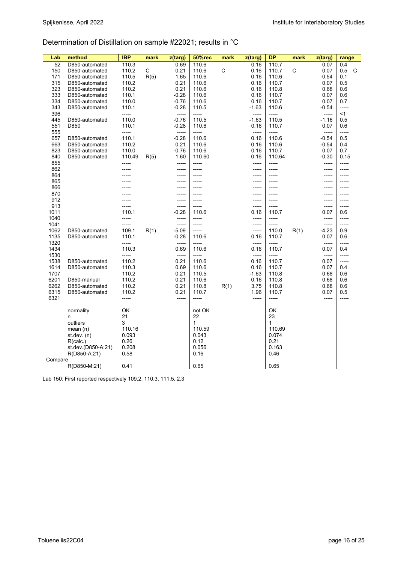## Determination of Distillation on sample #22021; results in °C

| Lab        | method                           | <b>IBP</b>          | mark | z(targ)            | <b>50%rec</b>  | mark | z(targ)          | <b>DP</b>                    | mark | z(targ)      | range       |
|------------|----------------------------------|---------------------|------|--------------------|----------------|------|------------------|------------------------------|------|--------------|-------------|
| 52         | D850-automated                   | 110.3               |      | 0.69               | 110.6          |      | 0.16             | 110.7                        |      | 0.07         | 0.4         |
| 150        | D850-automated                   | 110.2               | С    | 0.21               | 110.6          | C    | 0.16             | 110.7                        | C    | 0.07         | C<br>0.5    |
| 171        | D850-automated                   | 110.5               | R(5) | 1.65               | 110.6          |      | 0.16             | 110.6                        |      | $-0.54$      | 0.1         |
| 315        | D850-automated                   | 110.2               |      | 0.21               | 110.6          |      | 0.16             | 110.7                        |      | 0.07         | 0.5         |
| 323        | D850-automated                   | 110.2               |      | 0.21               | 110.6          |      | 0.16             | 110.8                        |      | 0.68         | 0.6         |
|            |                                  |                     |      |                    |                |      |                  |                              |      |              |             |
| 333<br>334 | D850-automated<br>D850-automated | 110.1<br>110.0      |      | $-0.28$<br>$-0.76$ | 110.6<br>110.6 |      | 0.16<br>0.16     | 110.7<br>110.7               |      | 0.07<br>0.07 | 0.6<br>0.7  |
| 343        |                                  |                     |      |                    |                |      |                  |                              |      |              | -----       |
| 396        | D850-automated                   | 110.1<br>-----      |      | $-0.28$<br>-----   | 110.5<br>----- |      | $-1.63$<br>----- | 110.6<br>-----               |      | -0.54        | <1          |
|            |                                  |                     |      |                    |                |      |                  |                              |      | -----        |             |
| 445<br>551 | D850-automated<br>D850           | 110.0<br>110.1      |      | $-0.76$<br>$-0.28$ | 110.5          |      | -1.63            | 110.5                        |      | $-1.16$      | 0.5<br>0.6  |
|            |                                  | $1 - 1 - 1 - 1 = 1$ |      | -----              | 110.6<br>----- |      | 0.16<br>-----    | 110.7<br>$1 - 1 - 1 - 1 = 1$ |      | 0.07         | -----       |
| 555        |                                  |                     |      |                    |                |      |                  |                              |      | -----        |             |
| 657        | D850-automated                   | 110.1               |      | $-0.28$            | 110.6          |      | 0.16             | 110.6                        |      | $-0.54$      | 0.5         |
| 663        | D850-automated                   | 110.2               |      | 0.21               | 110.6          |      | 0.16             | 110.6                        |      | $-0.54$      | 0.4         |
| 823        | D850-automated                   | 110.0               |      | $-0.76$            | 110.6          |      | 0.16             | 110.7                        |      | 0.07         | 0.7         |
| 840        | D850-automated                   | 110.49              | R(5) | 1.60               | 110.60         |      | 0.16             | 110.64                       |      | $-0.30$      | 0.15        |
| 855        |                                  | -----               |      | -----              | -----          |      | -----            | -----                        |      | -----        | -----       |
| 862        |                                  | -----               |      | $-----1$           | -----          |      | $-----1$         | -----                        |      | -----        | $- - - - -$ |
| 864        |                                  |                     |      | -----              | -----          |      | -----            | -----                        |      | -----        | -----       |
| 865        |                                  |                     |      | -----              | -----          |      | -----            | -----                        |      | -----        | -----       |
| 866        |                                  |                     |      |                    |                |      |                  |                              |      | -----        |             |
| 870        |                                  |                     |      | -----              | -----          |      | -----            | -----                        |      | -----        | -----       |
| 912        |                                  |                     |      | -----              |                |      |                  |                              |      | -----        | -----       |
| 913        |                                  |                     |      | -----              | -----          |      | -----            | -----                        |      | -----        | -----       |
| 1011       |                                  | 110.1               |      | $-0.28$            | 110.6          |      | 0.16             | 110.7                        |      | 0.07         | 0.6         |
| 1040       |                                  | -----               |      | -----              | -----          |      | -----            | -----                        |      | -----        | -----       |
| 1041       |                                  | -----               |      | -----              | -----          |      | -----            | -----                        |      | -----        | -----       |
| 1062       | D850-automated                   | 109.1               | R(1) | $-5.09$            | -----          |      | -----            | 110.0                        | R(1) | $-4.23$      | 0.9         |
| 1135       | D850-automated                   | 110.1               |      | $-0.28$            | 110.6          |      | 0.16             | 110.7                        |      | 0.07         | 0.6         |
| 1320       |                                  | -----               |      | -----              | -----          |      | -----            | -----                        |      | -----        | -----       |
| 1434       |                                  | 110.3               |      | 0.69               | 110.6          |      | 0.16             | 110.7                        |      | 0.07         | 0.4         |
| 1530       |                                  | -----               |      | $-----$            | -----          |      | -----            | -----                        |      | -----        | -----       |
| 1538       | D850-automated                   | 110.2               |      | 0.21               | 110.6          |      | 0.16             | 110.7                        |      | 0.07         | -----       |
| 1614       | D850-automated                   | 110.3               |      | 0.69               | 110.6          |      | 0.16             | 110.7                        |      | 0.07         | 0.4         |
| 1707       |                                  | 110.2               |      | 0.21               | 110.5          |      | $-1.63$          | 110.8                        |      | 0.68         | 0.6         |
| 6201       | D850-manual                      | 110.2               |      | 0.21               | 110.6          |      | 0.16             | 110.8                        |      | 0.68         | 0.6         |
| 6262       | D850-automated                   | 110.2               |      | 0.21               | 110.8          | R(1) | 3.75             | 110.8                        |      | 0.68         | 0.6         |
| 6315       | D850-automated                   | 110.2               |      | 0.21               | 110.7          |      | 1.96             | 110.7                        |      | 0.07         | 0.5         |
| 6321       |                                  | -----               |      | -----              | -----          |      | -----            | -----                        |      | -----        |             |
|            |                                  |                     |      |                    |                |      |                  |                              |      |              |             |
|            | normality                        | OK                  |      |                    | not OK         |      |                  | OK                           |      |              |             |
|            | n                                | 21                  |      |                    | 22             |      |                  | 23                           |      |              |             |
|            | outliers                         | 3                   |      |                    | 1              |      |                  | 1                            |      |              |             |
|            | mean $(n)$                       | 110.16              |      |                    | 110.59         |      |                  | 110.69                       |      |              |             |
|            | st dev. $(n)$                    | 0.093               |      |                    | 0.043          |      |                  | 0.074                        |      |              |             |
|            | R(calc.)                         | 0.26                |      |                    | 0.12           |      |                  | 0.21                         |      |              |             |
|            | st.dev.(D850-A:21)               | 0.208               |      |                    | 0.056          |      |                  | 0.163                        |      |              |             |
|            | R(D850-A:21)                     | 0.58                |      |                    | 0.16           |      |                  | 0.46                         |      |              |             |
| Compare    |                                  |                     |      |                    |                |      |                  |                              |      |              |             |
|            | R(D850-M:21)                     | 0.41                |      |                    | 0.65           |      |                  | 0.65                         |      |              |             |

Lab 150: First reported respectively 109.2, 110.3, 111.5, 2.3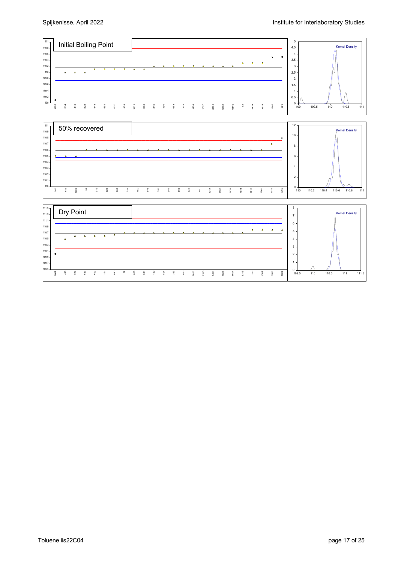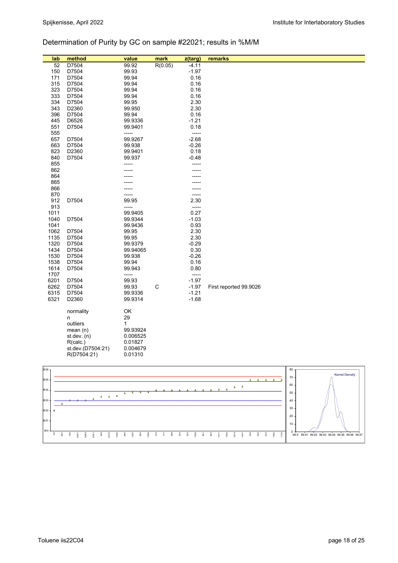## Determination of Purity by GC on sample #22021; results in %M/M

| lab  | method            | value    | mark         | z(targ) | remarks                |
|------|-------------------|----------|--------------|---------|------------------------|
| 52   | D7504             | 99.92    | R(0.05)      | $-4.11$ |                        |
| 150  | D7504             | 99.93    |              | $-1.97$ |                        |
| 171  | D7504             | 99.94    |              | 0.16    |                        |
| 315  | D7504             | 99.94    |              | 0.16    |                        |
| 323  | D7504             | 99.94    |              | 0.16    |                        |
| 333  | D7504             | 99.94    |              | 0.16    |                        |
| 334  | D7504             | 99.95    |              | 2.30    |                        |
| 343  | D2360             | 99.950   |              | 2.30    |                        |
| 396  | D7504             | 99.94    |              | 0.16    |                        |
| 445  | D6526             | 99.9336  |              | $-1.21$ |                        |
| 551  | D7504             | 99.9401  |              | 0.18    |                        |
| 555  |                   | -----    |              | -----   |                        |
| 657  | D7504             | 99.9267  |              | $-2.68$ |                        |
| 663  | D7504             | 99.938   |              | $-0.26$ |                        |
| 823  | D2360             | 99.9401  |              | 0.18    |                        |
| 840  | D7504             | 99.937   |              | $-0.48$ |                        |
| 855  |                   | -----    |              | -----   |                        |
| 862  |                   |          |              |         |                        |
| 864  |                   |          |              |         |                        |
| 865  |                   |          |              |         |                        |
| 866  |                   |          |              |         |                        |
| 870  |                   |          |              | -----   |                        |
| 912  | D7504             | 99.95    |              | 2.30    |                        |
| 913  |                   | -----    |              | -----   |                        |
| 1011 |                   | 99.9405  |              | 0.27    |                        |
| 1040 | D7504             | 99.9344  |              | $-1.03$ |                        |
| 1041 |                   | 99.9436  |              | 0.93    |                        |
| 1062 | D7504             | 99.95    |              | 2.30    |                        |
| 1135 | D7504             | 99.95    |              | 2.30    |                        |
| 1320 | D7504             | 99.9379  |              | $-0.29$ |                        |
| 1434 | D7504             | 99.94065 |              | 0.30    |                        |
| 1530 | D7504             | 99.938   |              | $-0.26$ |                        |
| 1538 | D7504             | 99.94    |              | 0.16    |                        |
| 1614 | D7504             | 99.943   |              | 0.80    |                        |
| 1707 |                   | -----    |              | -----   |                        |
| 6201 | D7504             | 99.93    |              | $-1.97$ |                        |
| 6262 | D7504             | 99.93    | $\mathsf{C}$ | $-1.97$ | First reported 99.9026 |
| 6315 | D7504             | 99.9336  |              | $-1.21$ |                        |
| 6321 | D2360             | 99.9314  |              | $-1.68$ |                        |
|      | normality         | OK       |              |         |                        |
|      | n                 | 29       |              |         |                        |
|      | outliers          | 1        |              |         |                        |
|      | mean $(n)$        | 99.93924 |              |         |                        |
|      | st.dev. $(n)$     | 0.006525 |              |         |                        |
|      | R(calc.)          | 0.01827  |              |         |                        |
|      | st.dev.(D7504:21) | 0.004679 |              |         |                        |
|      | R(D7504:21)       | 0.01310  |              |         |                        |
|      |                   |          |              |         |                        |
|      |                   |          |              |         |                        |

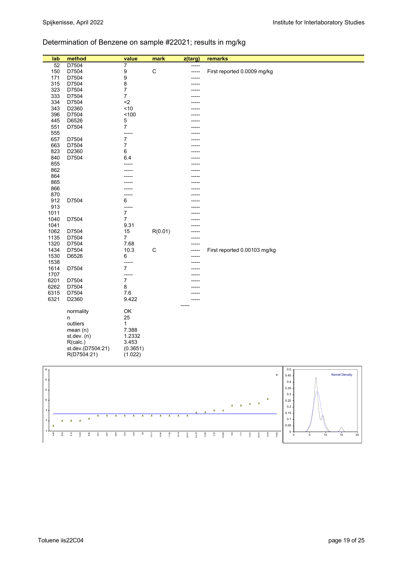## Determination of Benzene on sample #22021; results in mg/kg

| lab           | method                                                      | value                     | mark               | z(targ)                               | remarks                                                                                                                                             |
|---------------|-------------------------------------------------------------|---------------------------|--------------------|---------------------------------------|-----------------------------------------------------------------------------------------------------------------------------------------------------|
| 52            | D7504                                                       | 7                         |                    |                                       |                                                                                                                                                     |
| 150           | D7504                                                       | 9                         | ${\bf C}$          | -----                                 | First reported 0.0009 mg/kg                                                                                                                         |
| 171           | D7504                                                       | 9                         |                    | ----                                  |                                                                                                                                                     |
| 315           | D7504                                                       | 8                         |                    |                                       |                                                                                                                                                     |
| 323<br>333    | D7504<br>D7504                                              | 7<br>7                    |                    |                                       |                                                                                                                                                     |
| 334           | D7504                                                       | $\mathord{<}2$            |                    |                                       |                                                                                                                                                     |
| 343           | D2360                                                       | ~10                       |                    |                                       |                                                                                                                                                     |
| 396           | D7504                                                       | 100                       |                    |                                       |                                                                                                                                                     |
| 445           | D6526                                                       | 5                         |                    |                                       |                                                                                                                                                     |
| 551           | D7504                                                       | $\overline{7}$            |                    |                                       |                                                                                                                                                     |
| 555           |                                                             | -----                     |                    |                                       |                                                                                                                                                     |
| 657           | D7504                                                       | $\boldsymbol{7}$          |                    |                                       |                                                                                                                                                     |
| 663<br>823    | D7504<br>D2360                                              | 7<br>6                    |                    |                                       |                                                                                                                                                     |
| 840           | D7504                                                       | 6.4                       |                    |                                       |                                                                                                                                                     |
| 855           |                                                             |                           |                    |                                       |                                                                                                                                                     |
| 862           |                                                             |                           |                    |                                       |                                                                                                                                                     |
| 864           |                                                             |                           |                    |                                       |                                                                                                                                                     |
| 865           |                                                             |                           |                    |                                       |                                                                                                                                                     |
| 866<br>870    |                                                             |                           |                    |                                       |                                                                                                                                                     |
| 912           | D7504                                                       | 6                         |                    |                                       |                                                                                                                                                     |
| 913           |                                                             | -----                     |                    |                                       |                                                                                                                                                     |
| 1011          |                                                             | $\overline{7}$            |                    |                                       |                                                                                                                                                     |
| 1040          | D7504                                                       | $\overline{7}$            |                    |                                       |                                                                                                                                                     |
| 1041          |                                                             | 9.31                      |                    |                                       |                                                                                                                                                     |
| 1062          | D7504                                                       | 15                        | R(0.01)            |                                       |                                                                                                                                                     |
| 1135<br>1320  | D7504<br>D7504                                              | 7<br>7.68                 |                    |                                       |                                                                                                                                                     |
| 1434          | D7504                                                       | 10.3                      | $\mathsf C$        | -----                                 | First reported 0.00103 mg/kg                                                                                                                        |
| 1530          | D6526                                                       | 6                         |                    |                                       |                                                                                                                                                     |
| 1538          |                                                             | -----                     |                    |                                       |                                                                                                                                                     |
| 1614          | D7504                                                       | $\overline{7}$            |                    |                                       |                                                                                                                                                     |
| 1707          |                                                             | -----<br>$\boldsymbol{7}$ |                    |                                       |                                                                                                                                                     |
| 6201<br>6262  | D7504<br>D7504                                              | 8                         |                    |                                       |                                                                                                                                                     |
| 6315          | D7504                                                       | 7.6                       |                    |                                       |                                                                                                                                                     |
| 6321          | D2360                                                       | 9.422                     |                    |                                       |                                                                                                                                                     |
|               |                                                             |                           |                    |                                       |                                                                                                                                                     |
|               | normality                                                   | OK                        |                    |                                       |                                                                                                                                                     |
|               | n<br>outliers                                               | 25                        |                    |                                       |                                                                                                                                                     |
|               | mean $(n)$                                                  | 1<br>7.388                |                    |                                       |                                                                                                                                                     |
|               | st.dev. (n)                                                 | 1.2332                    |                    |                                       |                                                                                                                                                     |
|               | R(calc.)                                                    | 3.453                     |                    |                                       |                                                                                                                                                     |
|               | st.dev.(D7504:21)                                           | (0.3651)                  |                    |                                       |                                                                                                                                                     |
|               | R(D7504:21)                                                 | (1.022)                   |                    |                                       |                                                                                                                                                     |
|               |                                                             |                           |                    |                                       |                                                                                                                                                     |
| $16 -$        |                                                             |                           |                    |                                       | 0.5                                                                                                                                                 |
| 14            |                                                             |                           |                    |                                       | <b>Kernel Density</b><br>$\pmb{\mathsf{x}}$<br>0.45                                                                                                 |
|               |                                                             |                           |                    |                                       | 0.4<br>0.35                                                                                                                                         |
| $12\,$        |                                                             |                           |                    |                                       | 0.3                                                                                                                                                 |
| 10            |                                                             |                           |                    |                                       | ۵<br>0.25<br>$\lambda$                                                                                                                              |
| $\bf 8$       |                                                             |                           |                    |                                       | Δ<br>$\Delta$<br>$\Delta$<br>0.2<br>$\pmb{\Delta}$<br>$\Delta$                                                                                      |
|               | Δ<br>Δ<br>Δ                                                 | $\Delta$<br>Δ             | Δ                  | Δ<br>$\Delta$                         | 0.15                                                                                                                                                |
| 6<br>$\Delta$ | $\pmb{\Delta}$<br>$\Delta$<br>Δ                             |                           |                    |                                       | 0.1<br>0.05                                                                                                                                         |
|               |                                                             |                           |                    |                                       | 0                                                                                                                                                   |
| 445<br>823    | $\frac{2}{9}$<br>840<br>663<br>530<br>$\overline{5}$<br>657 | $323\,$<br>333<br>8       | 1011<br>640<br>135 | 614<br>$\overline{\textrm{a}}$<br>315 | $\frac{8}{1}$<br>1434<br>320<br>315<br>262<br>$\overline{\mathbf{r}}$<br>1041<br>321<br>1062<br>$\,$ 0<br>$\,$ 5 $\,$<br>$10\,$<br>$15\,$<br>$20\,$ |

8 5 5 8 3 3 4 5 5 6 6 7 8 9 5 5 5 7 8 7

 $\begin{array}{|c|c|c|}\n\hline\n10 & 15 & 20\n\end{array}$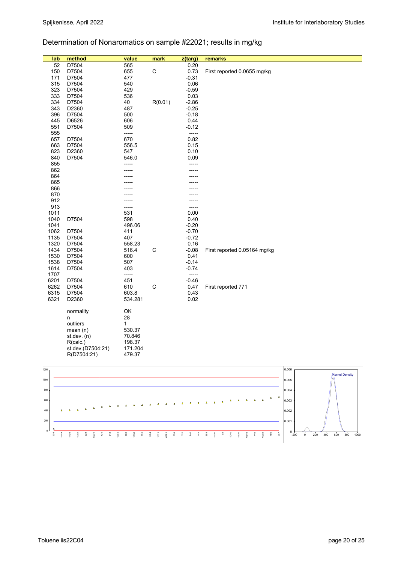## Determination of Nonaromatics on sample #22021; results in mg/kg

| lab  | method            | value        | mark        | z(targ) | remarks                      |
|------|-------------------|--------------|-------------|---------|------------------------------|
| 52   | D7504             | 565          |             | 0.20    |                              |
| 150  | D7504             | 655          | $\mathsf C$ | 0.73    | First reported 0.0655 mg/kg  |
| 171  | D7504             | 477          |             | $-0.31$ |                              |
| 315  | D7504             | 540          |             | 0.06    |                              |
|      |                   |              |             |         |                              |
| 323  | D7504             | 429          |             | $-0.59$ |                              |
| 333  | D7504             | 536          |             | 0.03    |                              |
| 334  | D7504             | 40           | R(0.01)     | $-2.86$ |                              |
| 343  | D2360             | 487          |             | $-0.25$ |                              |
| 396  | D7504             | 500          |             | $-0.18$ |                              |
| 445  | D6526             | 606          |             | 0.44    |                              |
| 551  | D7504             | 509          |             | $-0.12$ |                              |
| 555  |                   | -----        |             | -----   |                              |
| 657  | D7504             | 670          |             | 0.82    |                              |
| 663  | D7504             | 556.5        |             | 0.15    |                              |
| 823  | D2360             | 547          |             | 0.10    |                              |
| 840  | D7504             | 546.0        |             | 0.09    |                              |
| 855  |                   |              |             | -----   |                              |
| 862  |                   |              |             |         |                              |
| 864  |                   |              |             |         |                              |
| 865  |                   |              |             |         |                              |
| 866  |                   |              |             |         |                              |
| 870  |                   |              |             |         |                              |
| 912  |                   |              |             |         |                              |
| 913  |                   |              |             | -----   |                              |
|      |                   | -----<br>531 |             | 0.00    |                              |
| 1011 |                   |              |             |         |                              |
| 1040 | D7504             | 598          |             | 0.40    |                              |
| 1041 |                   | 496.06       |             | $-0.20$ |                              |
| 1062 | D7504             | 411          |             | $-0.70$ |                              |
| 1135 | D7504             | 407          |             | $-0.72$ |                              |
| 1320 | D7504             | 558.23       |             | 0.16    |                              |
| 1434 | D7504             | 516.4        | $\mathsf C$ | $-0.08$ | First reported 0.05164 mg/kg |
| 1530 | D7504             | 600          |             | 0.41    |                              |
| 1538 | D7504             | 507          |             | $-0.14$ |                              |
| 1614 | D7504             | 403          |             | $-0.74$ |                              |
| 1707 |                   | -----        |             | -----   |                              |
| 6201 | D7504             | 451          |             | $-0.46$ |                              |
| 6262 | D7504             | 610          | C           | 0.47    | First reported 771           |
| 6315 | D7504             | 603.8        |             | 0.43    |                              |
| 6321 | D2360             | 534.281      |             | 0.02    |                              |
|      |                   |              |             |         |                              |
|      | normality         | OK           |             |         |                              |
|      | n                 | 28           |             |         |                              |
|      | outliers          | $\mathbf{1}$ |             |         |                              |
|      | mean(n)           | 530.37       |             |         |                              |
|      | st.dev. (n)       | 70.846       |             |         |                              |
|      | R(calc.)          | 198.37       |             |         |                              |
|      | st.dev.(D7504:21) | 171.204      |             |         |                              |
|      | R(D7504:21)       | 479.37       |             |         |                              |
|      |                   |              |             |         |                              |



Toluene iis22C04 page 20 of 25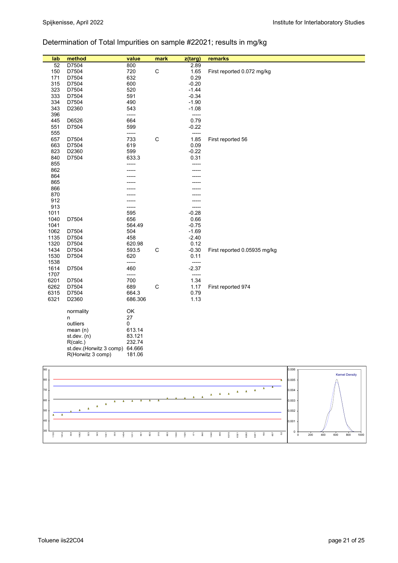## Determination of Total Impurities on sample #22021; results in mg/kg

| lab  | method                         | value   | mark        | z(targ) | remarks                      |
|------|--------------------------------|---------|-------------|---------|------------------------------|
| 52   | D7504                          | 800     |             | 2.89    |                              |
| 150  | D7504                          | 720     | $\mathsf C$ | 1.65    | First reported 0.072 mg/kg   |
| 171  | D7504                          | 632     |             | 0.29    |                              |
| 315  | D7504                          | 600     |             | $-0.20$ |                              |
| 323  | D7504                          | 520     |             | $-1.44$ |                              |
| 333  | D7504                          | 591     |             | $-0.34$ |                              |
|      |                                |         |             |         |                              |
| 334  | D7504                          | 490     |             | $-1.90$ |                              |
| 343  | D2360                          | 543     |             | $-1.08$ |                              |
| 396  |                                | -----   |             | $-----$ |                              |
| 445  | D6526                          | 664     |             | 0.79    |                              |
| 551  | D7504                          | 599     |             | $-0.22$ |                              |
| 555  |                                | -----   |             | -----   |                              |
| 657  | D7504                          | 733     | $\mathsf C$ | 1.85    | First reported 56            |
| 663  | D7504                          | 619     |             | 0.09    |                              |
| 823  | D2360                          | 599     |             | $-0.22$ |                              |
| 840  | D7504                          | 633.3   |             | 0.31    |                              |
| 855  |                                | -----   |             | -----   |                              |
| 862  |                                |         |             |         |                              |
| 864  |                                |         |             |         |                              |
| 865  |                                |         |             |         |                              |
| 866  |                                |         |             |         |                              |
| 870  |                                |         |             |         |                              |
| 912  |                                |         |             |         |                              |
| 913  |                                | -----   |             | -----   |                              |
| 1011 |                                | 595     |             | $-0.28$ |                              |
| 1040 | D7504                          | 656     |             | 0.66    |                              |
| 1041 |                                | 564.49  |             | $-0.75$ |                              |
| 1062 | D7504                          | 504     |             | $-1.69$ |                              |
| 1135 | D7504                          | 458     |             | $-2.40$ |                              |
| 1320 | D7504                          | 620.98  |             | 0.12    |                              |
| 1434 | D7504                          | 593.5   | C           | $-0.30$ | First reported 0.05935 mg/kg |
|      |                                |         |             | 0.11    |                              |
| 1530 | D7504                          | 620     |             |         |                              |
| 1538 |                                | -----   |             | -----   |                              |
| 1614 | D7504                          | 460     |             | $-2.37$ |                              |
| 1707 |                                | -----   |             | -----   |                              |
| 6201 | D7504                          | 700     |             | 1.34    |                              |
| 6262 | D7504                          | 689     | $\mathsf C$ | 1.17    | First reported 974           |
| 6315 | D7504                          | 664.3   |             | 0.79    |                              |
| 6321 | D2360                          | 686.306 |             | 1.13    |                              |
|      |                                |         |             |         |                              |
|      | normality                      | OK      |             |         |                              |
|      | n                              | 27      |             |         |                              |
|      | outliers                       | 0       |             |         |                              |
|      | mean(n)                        | 613.14  |             |         |                              |
|      | st.dev. $(n)$                  | 83.121  |             |         |                              |
|      | R(calc.)                       | 232.74  |             |         |                              |
|      | st.dev.(Horwitz 3 comp) 64.666 |         |             |         |                              |
|      | R(Horwitz 3 comp)              | 181.06  |             |         |                              |
|      |                                |         |             |         |                              |

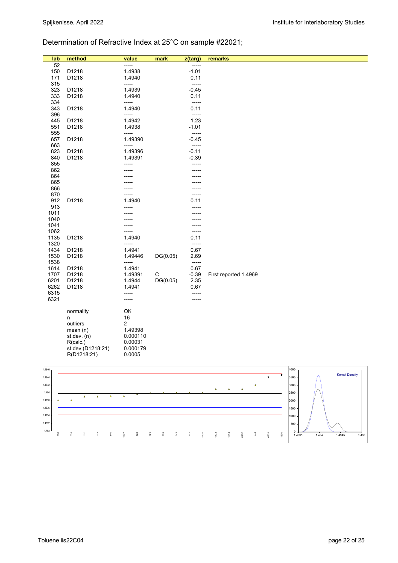## Determination of Refractive Index at 25°C on sample #22021;

| method<br>lab<br>value<br>mark<br>z(targ)<br>remarks<br>52<br>-----<br>-----<br>1.4938<br>$-1.01$<br>150<br>D1218<br>D1218<br>0.11<br>171<br>1.4940 |  |
|-----------------------------------------------------------------------------------------------------------------------------------------------------|--|
|                                                                                                                                                     |  |
|                                                                                                                                                     |  |
|                                                                                                                                                     |  |
| 315<br>-----<br>-----                                                                                                                               |  |
| 323<br>D1218<br>1.4939<br>$-0.45$                                                                                                                   |  |
| 333<br>D1218<br>1.4940<br>0.11                                                                                                                      |  |
| 334<br>-----<br>-----                                                                                                                               |  |
| D1218<br>0.11<br>343<br>1.4940<br>396<br>-----<br>-----                                                                                             |  |
| 1.4942<br>1.23<br>445<br>D1218                                                                                                                      |  |
| 551<br>D1218<br>1.4938<br>$-1.01$                                                                                                                   |  |
| 555<br>-----<br>-----                                                                                                                               |  |
| 657<br>D1218<br>1.49390<br>$-0.45$                                                                                                                  |  |
| 663<br>-----<br>-----<br>823<br>D1218<br>1.49396<br>$-0.11$                                                                                         |  |
| $-0.39$<br>840<br>D1218<br>1.49391                                                                                                                  |  |
| 855<br>-----<br>-----                                                                                                                               |  |
| 862                                                                                                                                                 |  |
| 864                                                                                                                                                 |  |
| 865                                                                                                                                                 |  |
| 866<br>870<br>-----<br>-----                                                                                                                        |  |
| D1218<br>1.4940<br>912<br>0.11                                                                                                                      |  |
| 913<br>-----<br>-----                                                                                                                               |  |
| 1011                                                                                                                                                |  |
| 1040                                                                                                                                                |  |
| 1041<br>1062<br>-----<br>-----                                                                                                                      |  |
| 1135<br>D1218<br>1.4940<br>0.11                                                                                                                     |  |
| 1320<br>$-----$<br>-----                                                                                                                            |  |
| 0.67<br>1434<br>D1218<br>1.4941                                                                                                                     |  |
| 1530<br>2.69<br>D1218<br>1.49446<br>DG(0.05)<br>1538<br>-----                                                                                       |  |
| -----<br>0.67<br>1614<br>D1218<br>1.4941                                                                                                            |  |
| 1707<br>$-0.39$<br>D1218<br>1.49391<br>C<br>First reported 1.4969                                                                                   |  |
| 6201<br>D1218<br>1.4944<br>DG(0.05)<br>2.35                                                                                                         |  |
| 6262<br>D1218<br>1.4941<br>0.67                                                                                                                     |  |
| 6315<br>-----<br>-----                                                                                                                              |  |
| 6321<br>-----<br>-----                                                                                                                              |  |
| OK<br>normality                                                                                                                                     |  |
| 16<br>n                                                                                                                                             |  |
| 2<br>outliers                                                                                                                                       |  |
| 1.49398<br>mean $(n)$<br>0.000110                                                                                                                   |  |
| st.dev. $(n)$<br>0.00031<br>R(calc.)                                                                                                                |  |
| st.dev.(D1218:21)<br>0.000179                                                                                                                       |  |
| R(D1218:21)<br>0.0005                                                                                                                               |  |
|                                                                                                                                                     |  |

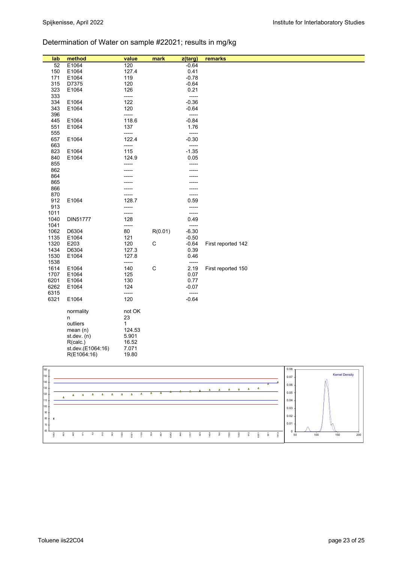## Determination of Water on sample #22021; results in mg/kg

| lab  | method            | value  | mark        | z(targ) | remarks            |
|------|-------------------|--------|-------------|---------|--------------------|
| 52   | E1064             | 120    |             | $-0.64$ |                    |
| 150  | E1064             | 127.4  |             | 0.41    |                    |
| 171  | E1064             | 119    |             | $-0.78$ |                    |
| 315  | D7375             | 120    |             | $-0.64$ |                    |
| 323  | E1064             | 126    |             | 0.21    |                    |
| 333  |                   | -----  |             | -----   |                    |
|      |                   | 122    |             | $-0.36$ |                    |
| 334  | E1064             |        |             |         |                    |
| 343  | E1064             | 120    |             | $-0.64$ |                    |
| 396  |                   | -----  |             | -----   |                    |
| 445  | E1064             | 118.6  |             | $-0.84$ |                    |
| 551  | E1064             | 137    |             | 1.76    |                    |
| 555  |                   | -----  |             | -----   |                    |
| 657  | E1064             | 122.4  |             | $-0.30$ |                    |
| 663  |                   | -----  |             | -----   |                    |
| 823  | E1064             | 115    |             | $-1.35$ |                    |
| 840  | E1064             | 124.9  |             | 0.05    |                    |
| 855  |                   | -----  |             | -----   |                    |
| 862  |                   |        |             |         |                    |
| 864  |                   |        |             |         |                    |
| 865  |                   |        |             |         |                    |
| 866  |                   |        |             |         |                    |
| 870  |                   |        |             | -----   |                    |
| 912  | E1064             | 128.7  |             | 0.59    |                    |
| 913  |                   |        |             | -----   |                    |
|      |                   | -----  |             |         |                    |
| 1011 |                   | -----  |             | -----   |                    |
| 1040 | DIN51777          | 128    |             | 0.49    |                    |
| 1041 |                   | -----  |             | -----   |                    |
| 1062 | D6304             | 80     | R(0.01)     | $-6.30$ |                    |
| 1135 | E1064             | 121    |             | $-0.50$ |                    |
| 1320 | E203              | 120    | $\mathsf C$ | $-0.64$ | First reported 142 |
| 1434 | D6304             | 127.3  |             | 0.39    |                    |
| 1530 | E1064             | 127.8  |             | 0.46    |                    |
| 1538 |                   | -----  |             | -----   |                    |
| 1614 | E1064             | 140    | $\mathsf C$ | 2.19    | First reported 150 |
| 1707 | E1064             | 125    |             | 0.07    |                    |
| 6201 | E1064             | 130    |             | 0.77    |                    |
| 6262 | E1064             | 124    |             | $-0.07$ |                    |
| 6315 |                   | -----  |             | -----   |                    |
| 6321 | E1064             | 120    |             | $-0.64$ |                    |
|      |                   |        |             |         |                    |
|      |                   | not OK |             |         |                    |
|      | normality         |        |             |         |                    |
|      | n                 | 23     |             |         |                    |
|      | outliers          | 1      |             |         |                    |
|      | mean $(n)$        | 124.53 |             |         |                    |
|      | st.dev. $(n)$     | 5.901  |             |         |                    |
|      | R(calc.)          | 16.52  |             |         |                    |
|      | st.dev.(E1064:16) | 7.071  |             |         |                    |
|      | R(E1064:16)       | 19.80  |             |         |                    |

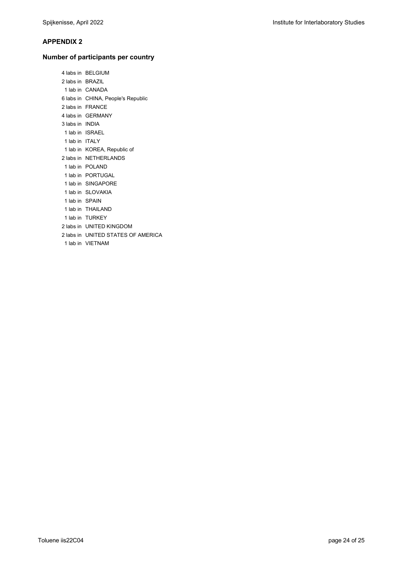#### **APPENDIX 2**

#### **Number of participants per country**

 4 labs in BELGIUM 2 labs in BRAZIL 1 lab in CANADA 6 labs in CHINA, People's Republic 2 labs in FRANCE 4 labs in GERMANY 3 labs in INDIA 1 lab in ISRAEL 1 lab in ITALY 1 lab in KOREA, Republic of 2 labs in NETHERLANDS 1 lab in POLAND 1 lab in PORTUGAL 1 lab in SINGAPORE 1 lab in SLOVAKIA 1 lab in SPAIN 1 lab in THAILAND 1 lab in TURKEY 2 labs in UNITED KINGDOM 2 labs in UNITED STATES OF AMERICA 1 lab in VIETNAM